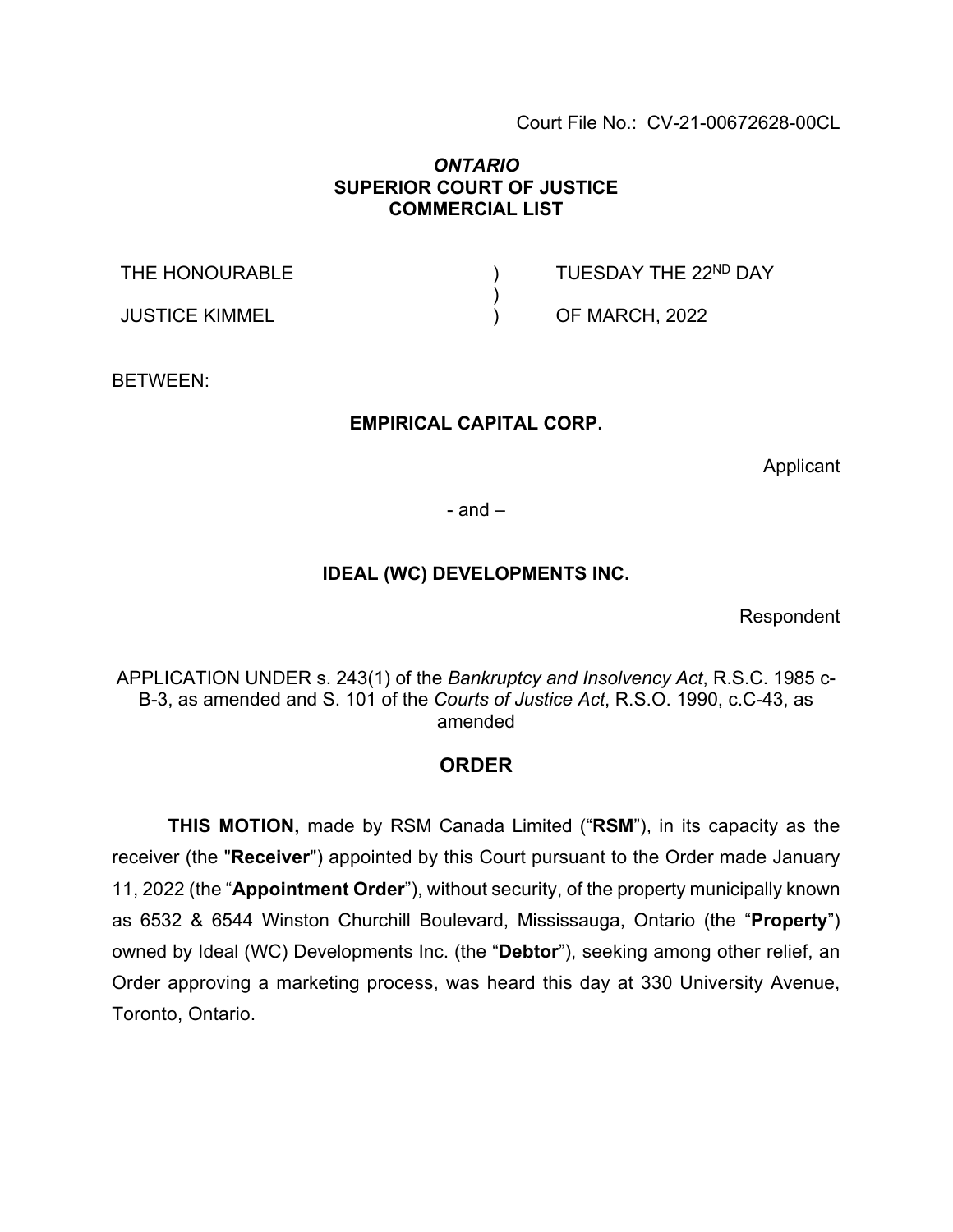Court File No.: CV-21-00672628-00CL

### *ONTARIO* **SUPERIOR COURT OF JUSTICE COMMERCIAL LIST**

) )  $\lambda$ 

THE HONOURABLE

JUSTICE KIMMEL

TUESDAY THE 22ND DAY

OF MARCH, 2022

BETWEEN:

### **EMPIRICAL CAPITAL CORP.**

Applicant

 $-$  and  $-$ 

### **IDEAL (WC) DEVELOPMENTS INC.**

Respondent

APPLICATION UNDER s. 243(1) of the *Bankruptcy and Insolvency Act*, R.S.C. 1985 c-B-3, as amended and S. 101 of the *Courts of Justice Act*, R.S.O. 1990, c.C-43, as amended

### **ORDER**

**THIS MOTION,** made by RSM Canada Limited ("**RSM**"), in its capacity as the receiver (the "**Receiver**") appointed by this Court pursuant to the Order made January 11, 2022 (the "**Appointment Order**"), without security, of the property municipally known as 6532 & 6544 Winston Churchill Boulevard, Mississauga, Ontario (the "**Property**") owned by Ideal (WC) Developments Inc. (the "**Debtor**"), seeking among other relief, an Order approving a marketing process, was heard this day at 330 University Avenue, Toronto, Ontario.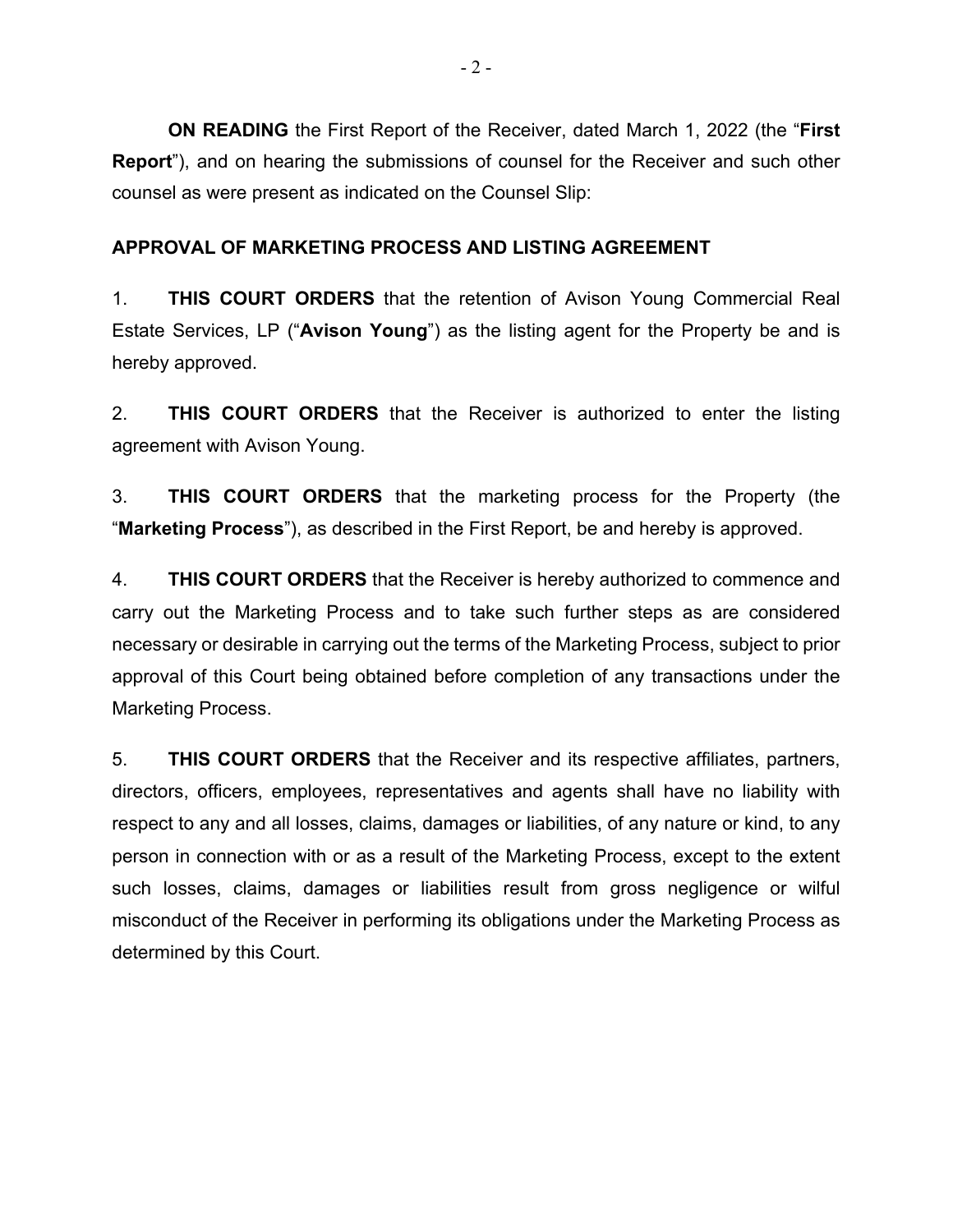**ON READING** the First Report of the Receiver, dated March 1, 2022 (the "**First Report**"), and on hearing the submissions of counsel for the Receiver and such other counsel as were present as indicated on the Counsel Slip:

## **APPROVAL OF MARKETING PROCESS AND LISTING AGREEMENT**

1. **THIS COURT ORDERS** that the retention of Avison Young Commercial Real Estate Services, LP ("**Avison Young**") as the listing agent for the Property be and is hereby approved.

2. **THIS COURT ORDERS** that the Receiver is authorized to enter the listing agreement with Avison Young.

3. **THIS COURT ORDERS** that the marketing process for the Property (the "**Marketing Process**"), as described in the First Report, be and hereby is approved.

4. **THIS COURT ORDERS** that the Receiver is hereby authorized to commence and carry out the Marketing Process and to take such further steps as are considered necessary or desirable in carrying out the terms of the Marketing Process, subject to prior approval of this Court being obtained before completion of any transactions under the Marketing Process.

5. **THIS COURT ORDERS** that the Receiver and its respective affiliates, partners, directors, officers, employees, representatives and agents shall have no liability with respect to any and all losses, claims, damages or liabilities, of any nature or kind, to any person in connection with or as a result of the Marketing Process, except to the extent such losses, claims, damages or liabilities result from gross negligence or wilful misconduct of the Receiver in performing its obligations under the Marketing Process as determined by this Court.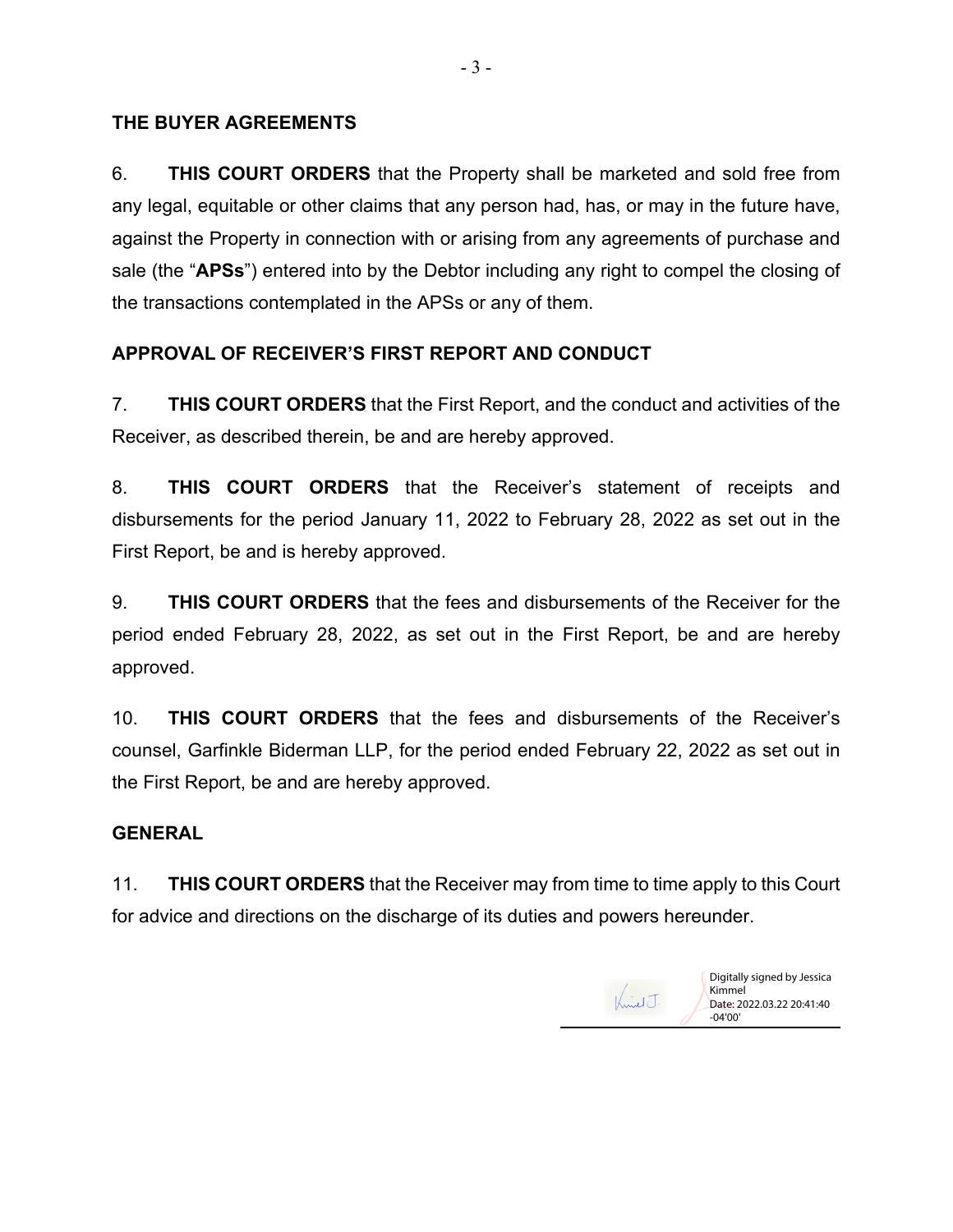## **THE BUYER AGREEMENTS**

6. **THIS COURT ORDERS** that the Property shall be marketed and sold free from any legal, equitable or other claims that any person had, has, or may in the future have, against the Property in connection with or arising from any agreements of purchase and sale (the "**APSs**") entered into by the Debtor including any right to compel the closing of the transactions contemplated in the APSs or any of them.

# **APPROVAL OF RECEIVER'S FIRST REPORT AND CONDUCT**

7. **THIS COURT ORDERS** that the First Report, and the conduct and activities of the Receiver, as described therein, be and are hereby approved.

8. **THIS COURT ORDERS** that the Receiver's statement of receipts and disbursements for the period January 11, 2022 to February 28, 2022 as set out in the First Report, be and is hereby approved.

9. **THIS COURT ORDERS** that the fees and disbursements of the Receiver for the period ended February 28, 2022, as set out in the First Report, be and are hereby approved.

10. **THIS COURT ORDERS** that the fees and disbursements of the Receiver's counsel, Garfinkle Biderman LLP, for the period ended February 22, 2022 as set out in the First Report, be and are hereby approved.

# **GENERAL**

11. **THIS COURT ORDERS** that the Receiver may from time to time apply to this Court for advice and directions on the discharge of its duties and powers hereunder.



Digitally signed by Jessica Kimmel Date: 2022.03.22 20:41:40 -04'00'